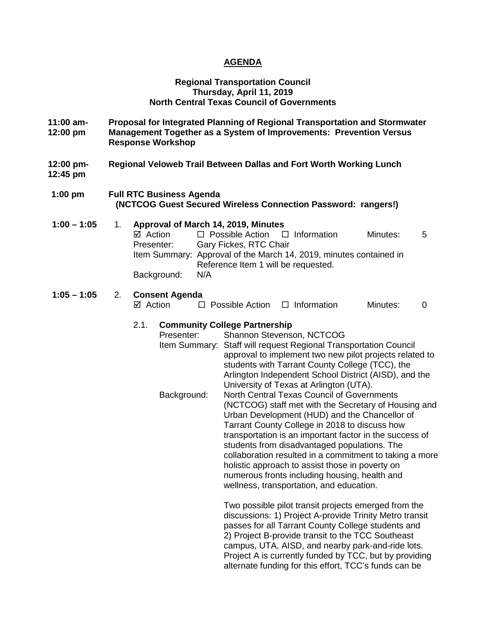# **AGENDA**

#### **Regional Transportation Council Thursday, April 11, 2019 North Central Texas Council of Governments**

- **11:00 am- Proposal for Integrated Planning of Regional Transportation and Stormwater 12:00 pm Management Together as a System of Improvements: Prevention Versus Response Workshop**
- **12:00 pm- Regional Veloweb Trail Between Dallas and Fort Worth Working Lunch**
- **12:45 pm**
- **1:00 pm Full RTC Business Agenda (NCTCOG Guest Secured Wireless Connection Password: rangers!)**

### **1:00 – 1:05** 1. **Approval of March 14, 2019, Minutes**  $\boxtimes$  Action  $\square$  Possible Action  $\square$  Information Minutes: 5<br>Presenter: Garv Fickes. RTC Chair **Gary Fickes, RTC Chair** Item Summary: Approval of the March 14, 2019, minutes contained in Reference Item 1 will be requested. Background: N/A

#### **1:05 – 1:05** 2. **Consent Agenda**   $\boxtimes$  Action  $\Box$  Possible Action  $\Box$  Information Minutes: 0

### 2.1. **Community College Partnership**

| Presenter:    | Shannon Stevenson, NCTCOG                               |
|---------------|---------------------------------------------------------|
| Item Summary: | Staff will request Regional Transportation Council      |
|               | approval to implement two new pilot projects related to |
|               | students with Tarrant County College (TCC), the         |
|               | Arlington Independent School District (AISD), and the   |
|               | University of Texas at Arlington (UTA).                 |
| Background:   | North Central Texas Council of Governments              |
|               | (NCTCOG) staff met with the Secretary of Housing and    |
|               | Urban Development (HUD) and the Chancellor of           |
|               | Tarrant County College in 2018 to discuss how           |
|               | transportation is an important factor in the success of |
|               | students from disadvantaged populations. The            |
|               | collaboration resulted in a commitment to taking a more |
|               | holistic approach to assist those in poverty on         |
|               | numerous fronts including housing, health and           |
|               | wellness, transportation, and education.                |
|               |                                                         |

Two possible pilot transit projects emerged from the discussions: 1) Project A-provide Trinity Metro transit passes for all Tarrant County College students and 2) Project B-provide transit to the TCC Southeast campus, UTA, AISD, and nearby park-and-ride lots. Project A is currently funded by TCC, but by providing alternate funding for this effort, TCC's funds can be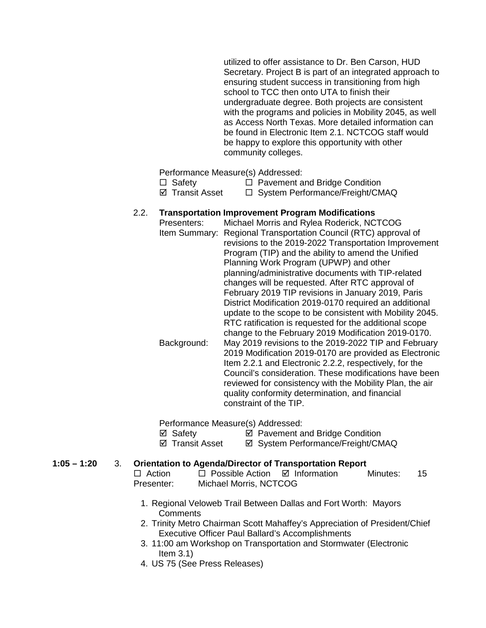utilized to offer assistance to Dr. Ben Carson, HUD Secretary. Project B is part of an integrated approach to ensuring student success in transitioning from high school to TCC then onto UTA to finish their undergraduate degree. Both projects are consistent with the programs and policies in Mobility 2045, as well as Access North Texas. More detailed information can be found in Electronic Item 2.1. NCTCOG staff would be happy to explore this opportunity with other community colleges.

Performance Measure(s) Addressed:

- $\Box$  Safety  $\Box$  Pavement and Bridge Condition
- $\boxtimes$  Transit Asset  $\Box$  System Performance/Freight/CMAQ

### 2.2. **Transportation Improvement Program Modifications**

Presenters: Michael Morris and Rylea Roderick, NCTCOG Item Summary: Regional Transportation Council (RTC) approval of revisions to the 2019-2022 Transportation Improvement Program (TIP) and the ability to amend the Unified Planning Work Program (UPWP) and other planning/administrative documents with TIP-related changes will be requested. After RTC approval of February 2019 TIP revisions in January 2019, Paris District Modification 2019-0170 required an additional update to the scope to be consistent with Mobility 2045. RTC ratification is requested for the additional scope change to the February 2019 Modification 2019-0170. Background: May 2019 revisions to the 2019-2022 TIP and February 2019 Modification 2019-0170 are provided as Electronic Item 2.2.1 and Electronic 2.2.2, respectively, for the Council's consideration. These modifications have been reviewed for consistency with the Mobility Plan, the air quality conformity determination, and financial constraint of the TIP.

Performance Measure(s) Addressed:

- 
- <p>✓ Safety</p>\n<p>✓ Payment and Bridge Condition</p>\n<p>✓ Transform</p>\n<p>✓ Transform</p> **Ø System Performance/Freight/CMAQ**

### **1:05 – 1:20** 3. **Orientation to Agenda/Director of Transportation Report**

- $\Box$  Action  $\Box$  Possible Action  $\Box$  Information Minutes: 15 Presenter: Michael Morris, NCTCOG
	- 1. Regional Veloweb Trail Between Dallas and Fort Worth: Mayors **Comments**
	- 2. Trinity Metro Chairman Scott Mahaffey's Appreciation of President/Chief Executive Officer Paul Ballard's Accomplishments
	- 3. 11:00 am Workshop on Transportation and Stormwater (Electronic Item  $3.1$ )
	- 4. US 75 (See Press Releases)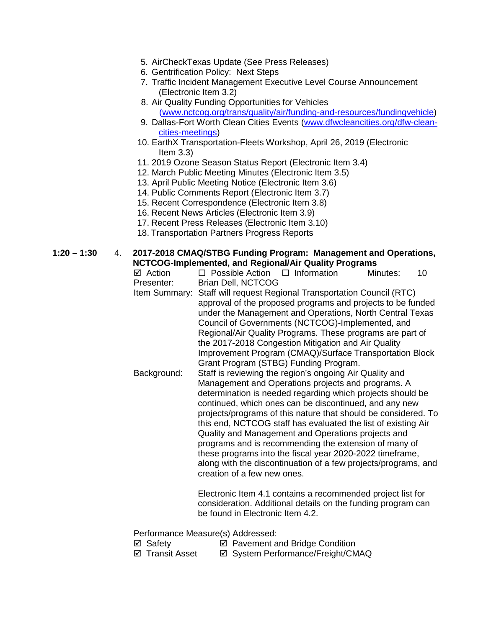- 5. AirCheckTexas Update (See Press Releases)
- 6. Gentrification Policy: Next Steps
- 7. Traffic Incident Management Executive Level Course Announcement (Electronic Item 3.2)
- 8. Air Quality Funding Opportunities for Vehicles [\(www.nctcog.org/trans/quality/air/funding-and-resources/fundingvehicle\)](http://www.nctcog.org/trans/quality/air/funding-and-resources/fundingvehicle)
- 9. Dallas-Fort Worth Clean Cities Events [\(www.dfwcleancities.org/dfw-clean](http://www.dfwcleancities.org/dfw-clean-cities-meetings)[cities-meetings\)](http://www.dfwcleancities.org/dfw-clean-cities-meetings)
- 10. EarthX Transportation-Fleets Workshop, April 26, 2019 (Electronic Item 3.3)
- 11. 2019 Ozone Season Status Report (Electronic Item 3.4)
- 12. March Public Meeting Minutes (Electronic Item 3.5)
- 13. April Public Meeting Notice (Electronic Item 3.6)
- 14. Public Comments Report (Electronic Item 3.7)
- 15. Recent Correspondence (Electronic Item 3.8)
- 16. Recent News Articles (Electronic Item 3.9)
- 17. Recent Press Releases (Electronic Item 3.10)
- 18. Transportation Partners Progress Reports

# **1:20 – 1:30** 4. **2017-2018 CMAQ/STBG Funding Program: Management and Operations, NCTCOG-Implemented, and Regional/Air Quality Programs**

| NCTCOG-Implemented, and Regional/Air Quality Programs |                                                                                                                                                                                                                                                                                                                                                                                                                                                                                                                                                                                                                                                                                               |  |  |  |  |  |  |  |
|-------------------------------------------------------|-----------------------------------------------------------------------------------------------------------------------------------------------------------------------------------------------------------------------------------------------------------------------------------------------------------------------------------------------------------------------------------------------------------------------------------------------------------------------------------------------------------------------------------------------------------------------------------------------------------------------------------------------------------------------------------------------|--|--|--|--|--|--|--|
| ⊠ Action                                              | $\Box$ Possible Action $\Box$ Information<br>Minutes:<br>10                                                                                                                                                                                                                                                                                                                                                                                                                                                                                                                                                                                                                                   |  |  |  |  |  |  |  |
| Presenter:                                            | <b>Brian Dell, NCTCOG</b>                                                                                                                                                                                                                                                                                                                                                                                                                                                                                                                                                                                                                                                                     |  |  |  |  |  |  |  |
| Item Summary:                                         | Staff will request Regional Transportation Council (RTC)                                                                                                                                                                                                                                                                                                                                                                                                                                                                                                                                                                                                                                      |  |  |  |  |  |  |  |
|                                                       | approval of the proposed programs and projects to be funded<br>under the Management and Operations, North Central Texas<br>Council of Governments (NCTCOG)-Implemented, and<br>Regional/Air Quality Programs. These programs are part of<br>the 2017-2018 Congestion Mitigation and Air Quality<br>Improvement Program (CMAQ)/Surface Transportation Block                                                                                                                                                                                                                                                                                                                                    |  |  |  |  |  |  |  |
| Background:                                           | Grant Program (STBG) Funding Program.<br>Staff is reviewing the region's ongoing Air Quality and<br>Management and Operations projects and programs. A<br>determination is needed regarding which projects should be<br>continued, which ones can be discontinued, and any new<br>projects/programs of this nature that should be considered. To<br>this end, NCTCOG staff has evaluated the list of existing Air<br>Quality and Management and Operations projects and<br>programs and is recommending the extension of many of<br>these programs into the fiscal year 2020-2022 timeframe,<br>along with the discontinuation of a few projects/programs, and<br>creation of a few new ones. |  |  |  |  |  |  |  |

Electronic Item 4.1 contains a recommended project list for consideration. Additional details on the funding program can be found in Electronic Item 4.2.

Performance Measure(s) Addressed:

- $\boxtimes$  Safety  $\boxtimes$  Pavement and Bridge Condition
- ⊠ Transit Asset **I** System Performance/Freight/CMAQ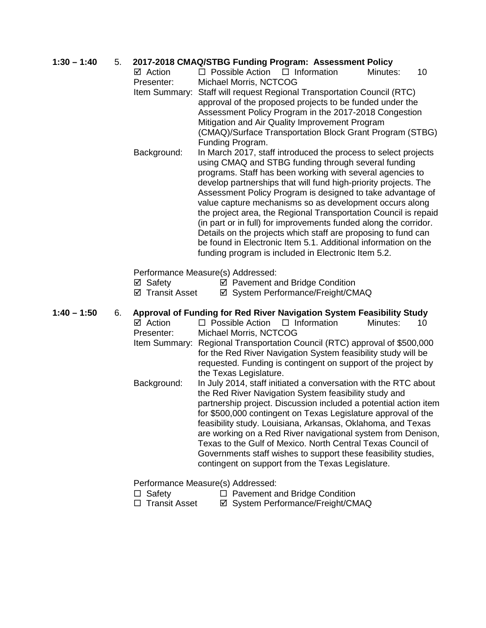# **1:30 – 1:40** 5. **2017-2018 CMAQ/STBG Funding Program: Assessment Policy**

 $\boxtimes$  Action  $\Box$  Possible Action  $\Box$  Information Minutes: 10 Presenter: Michael Morris, NCTCOG Item Summary: Staff will request Regional Transportation Council (RTC) approval of the proposed projects to be funded under the Assessment Policy Program in the 2017-2018 Congestion

Mitigation and Air Quality Improvement Program (CMAQ)/Surface Transportation Block Grant Program (STBG) Funding Program.

Background: In March 2017, staff introduced the process to select projects using CMAQ and STBG funding through several funding programs. Staff has been working with several agencies to develop partnerships that will fund high-priority projects. The Assessment Policy Program is designed to take advantage of value capture mechanisms so as development occurs along the project area, the Regional Transportation Council is repaid (in part or in full) for improvements funded along the corridor. Details on the projects which staff are proposing to fund can be found in Electronic Item 5.1. Additional information on the funding program is included in Electronic Item 5.2.

Performance Measure(s) Addressed:

 $\boxtimes$  Safety  $\boxtimes$  Pavement and Bridge Condition

 $\boxtimes$  **Transit Asset**  $\boxtimes$  System Performance/Freight/CMAQ

# **1:40 – 1:50** 6. **Approval of Funding for Red River Navigation System Feasibility Study**

- $\Box$  Possible Action  $\Box$  Information Minutes: 10 Presenter: Michael Morris, NCTCOG Item Summary: Regional Transportation Council (RTC) approval of \$500,000 for the Red River Navigation System feasibility study will be requested. Funding is contingent on support of the project by
	- the Texas Legislature. Background: In July 2014, staff initiated a conversation with the RTC about the Red River Navigation System feasibility study and partnership project. Discussion included a potential action item for \$500,000 contingent on Texas Legislature approval of the feasibility study. Louisiana, Arkansas, Oklahoma, and Texas are working on a Red River navigational system from Denison, Texas to the Gulf of Mexico. North Central Texas Council of Governments staff wishes to support these feasibility studies, contingent on support from the Texas Legislature.

# Performance Measure(s) Addressed:

- $\Box$  Safety  $\Box$  Pavement and Bridge Condition
- □ Transit Asset <br>  $\Box$  Transit Asset <br>  $\Box$  System Performance/Freight/CMAQ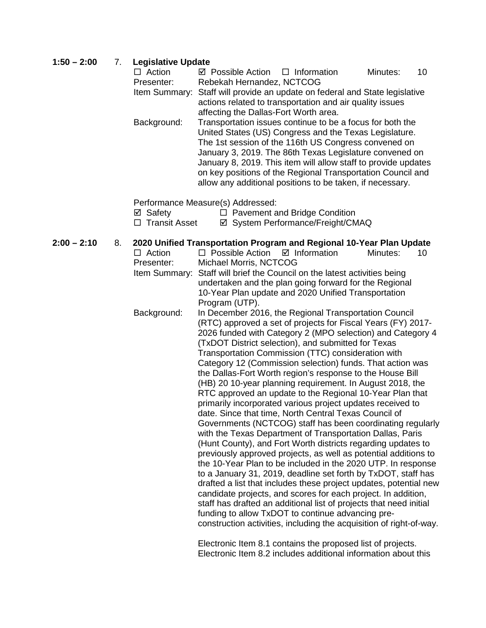# $1:50 - 2:00$

| $1:50 - 2:00$ | 7. | <b>Legislative Update</b> |                                                                                                                       |  |  |  |
|---------------|----|---------------------------|-----------------------------------------------------------------------------------------------------------------------|--|--|--|
|               |    | $\Box$ Action             | 10<br>☑ Possible Action<br>$\Box$ Information<br>Minutes:                                                             |  |  |  |
|               |    | Presenter:                | Rebekah Hernandez, NCTCOG                                                                                             |  |  |  |
|               |    | Item Summary:             | Staff will provide an update on federal and State legislative                                                         |  |  |  |
|               |    |                           | actions related to transportation and air quality issues                                                              |  |  |  |
|               |    |                           | affecting the Dallas-Fort Worth area.                                                                                 |  |  |  |
|               |    | Background:               | Transportation issues continue to be a focus for both the                                                             |  |  |  |
|               |    |                           | United States (US) Congress and the Texas Legislature.                                                                |  |  |  |
|               |    |                           | The 1st session of the 116th US Congress convened on                                                                  |  |  |  |
|               |    |                           | January 3, 2019. The 86th Texas Legislature convened on                                                               |  |  |  |
|               |    |                           | January 8, 2019. This item will allow staff to provide updates                                                        |  |  |  |
|               |    |                           | on key positions of the Regional Transportation Council and                                                           |  |  |  |
|               |    |                           | allow any additional positions to be taken, if necessary.                                                             |  |  |  |
|               |    |                           | Performance Measure(s) Addressed:                                                                                     |  |  |  |
|               |    | ⊠ Safety                  | □ Pavement and Bridge Condition                                                                                       |  |  |  |
|               |    | $\Box$ Transit Asset      | ☑ System Performance/Freight/CMAQ                                                                                     |  |  |  |
|               |    |                           |                                                                                                                       |  |  |  |
| $2:00 - 2:10$ | 8. |                           | 2020 Unified Transportation Program and Regional 10-Year Plan Update                                                  |  |  |  |
|               |    | $\Box$ Action             | $\Box$ Possible Action<br>$\boxtimes$ Information<br>Minutes:<br>10                                                   |  |  |  |
|               |    | Presenter:                | Michael Morris, NCTCOG                                                                                                |  |  |  |
|               |    |                           | Item Summary: Staff will brief the Council on the latest activities being                                             |  |  |  |
|               |    |                           | undertaken and the plan going forward for the Regional                                                                |  |  |  |
|               |    |                           | 10-Year Plan update and 2020 Unified Transportation                                                                   |  |  |  |
|               |    |                           | Program (UTP).                                                                                                        |  |  |  |
|               |    | Background:               | In December 2016, the Regional Transportation Council<br>(RTC) approved a set of projects for Fiscal Years (FY) 2017- |  |  |  |
|               |    |                           | 2026 funded with Category 2 (MPO selection) and Category 4                                                            |  |  |  |
|               |    |                           | (TxDOT District selection), and submitted for Texas                                                                   |  |  |  |
|               |    |                           | Transportation Commission (TTC) consideration with                                                                    |  |  |  |
|               |    |                           | $C_{\text{atom}}$ ( $\Omega$ (Commission solection) funds. That setion was                                            |  |  |  |

Category 12 (Commission selection) funds. That action was the Dallas-Fort Worth region's response to the House Bill (HB) 20 10-year planning requirement. In August 2018, the RTC approved an update to the Regional 10-Year Plan that primarily incorporated various project updates received to date. Since that time, North Central Texas Council of Governments (NCTCOG) staff has been coordinating regularly with the Texas Department of Transportation Dallas, Paris (Hunt County), and Fort Worth districts regarding updates to previously approved projects, as well as potential additions to the 10-Year Plan to be included in the 2020 UTP. In response to a January 31, 2019, deadline set forth by TxDOT, staff has drafted a list that includes these project updates, potential new candidate projects, and scores for each project. In addition, staff has drafted an additional list of projects that need initial funding to allow TxDOT to continue advancing preconstruction activities, including the acquisition of right-of-way.

> Electronic Item 8.1 contains the proposed list of projects. Electronic Item 8.2 includes additional information about this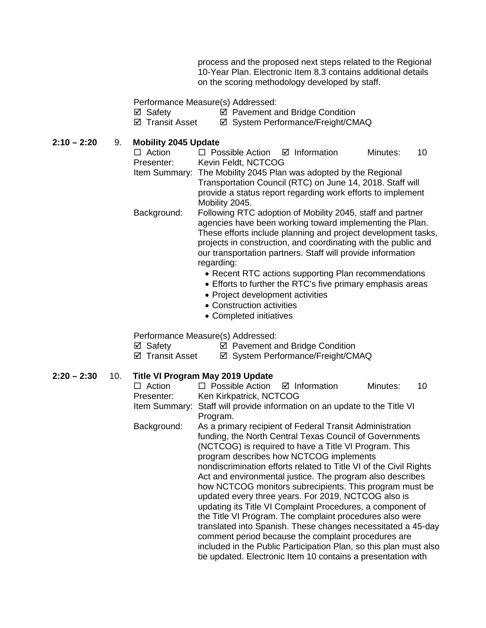process and the proposed next steps related to the Regional 10-Year Plan. Electronic Item 8.3 contains additional details on the scoring methodology developed by staff.

Performance Measure(s) Addressed:

- ⊠ Safety **De Pavement and Bridge Condition**<br> **Z** Transit Asset **De System Performance/Freight/CM** 
	- **Ø System Performance/Freight/CMAQ**

**2:10 – 2:20** 9. **Mobility 2045 Update**

 $\Box$  Action  $\Box$  Possible Action  $\Box$  Information Minutes: 10<br>Presenter: Kevin Feldt. NCTCOG Kevin Feldt, NCTCOG Item Summary: The Mobility 2045 Plan was adopted by the Regional Transportation Council (RTC) on June 14, 2018. Staff will provide a status report regarding work efforts to implement Mobility 2045. Background: Following RTC adoption of Mobility 2045, staff and partner

agencies have been working toward implementing the Plan. These efforts include planning and project development tasks, projects in construction, and coordinating with the public and our transportation partners. Staff will provide information regarding:

- Recent RTC actions supporting Plan recommendations
- Efforts to further the RTC's five primary emphasis areas
- Project development activities
- Construction activities
- Completed initiatives

Performance Measure(s) Addressed:

 $\boxtimes$  Safety  $\boxtimes$  Pavement and Bridge Condition

⊠ Transit Asset **II System Performance/Freight/CMAQ** 

# **2:20 – 2:30** 10. **Title VI Program May 2019 Update**

| $\Box$ Action                                             | $\Box$ Possible Action $\Box$ Information                   |                                                                   | Minutes: | 10 |  |  |  |
|-----------------------------------------------------------|-------------------------------------------------------------|-------------------------------------------------------------------|----------|----|--|--|--|
| Presenter:                                                | Ken Kirkpatrick, NCTCOG                                     |                                                                   |          |    |  |  |  |
| Item Summary:                                             | Staff will provide information on an update to the Title VI |                                                                   |          |    |  |  |  |
|                                                           | Program.                                                    |                                                                   |          |    |  |  |  |
| Background:                                               |                                                             | As a primary recipient of Federal Transit Administration          |          |    |  |  |  |
|                                                           |                                                             | funding, the North Central Texas Council of Governments           |          |    |  |  |  |
|                                                           |                                                             | (NCTCOG) is required to have a Title VI Program. This             |          |    |  |  |  |
|                                                           |                                                             | program describes how NCTCOG implements                           |          |    |  |  |  |
|                                                           |                                                             | nondiscrimination efforts related to Title VI of the Civil Rights |          |    |  |  |  |
| Act and environmental justice. The program also describes |                                                             |                                                                   |          |    |  |  |  |
| how NCTCOG monitors subrecipients. This program must be   |                                                             |                                                                   |          |    |  |  |  |
|                                                           |                                                             | updated every three years. For 2019, NCTCOG also is               |          |    |  |  |  |
|                                                           |                                                             | updating its Title VI Complaint Procedures, a component of        |          |    |  |  |  |
|                                                           |                                                             | the Title VI Program. The complaint procedures also were          |          |    |  |  |  |
|                                                           |                                                             | translated into Spanish. These changes necessitated a 45-day      |          |    |  |  |  |
|                                                           |                                                             | comment period because the complaint procedures are               |          |    |  |  |  |
|                                                           |                                                             | included in the Public Participation Plan, so this plan must also |          |    |  |  |  |
|                                                           |                                                             |                                                                   |          |    |  |  |  |
|                                                           |                                                             | be updated. Electronic Item 10 contains a presentation with       |          |    |  |  |  |